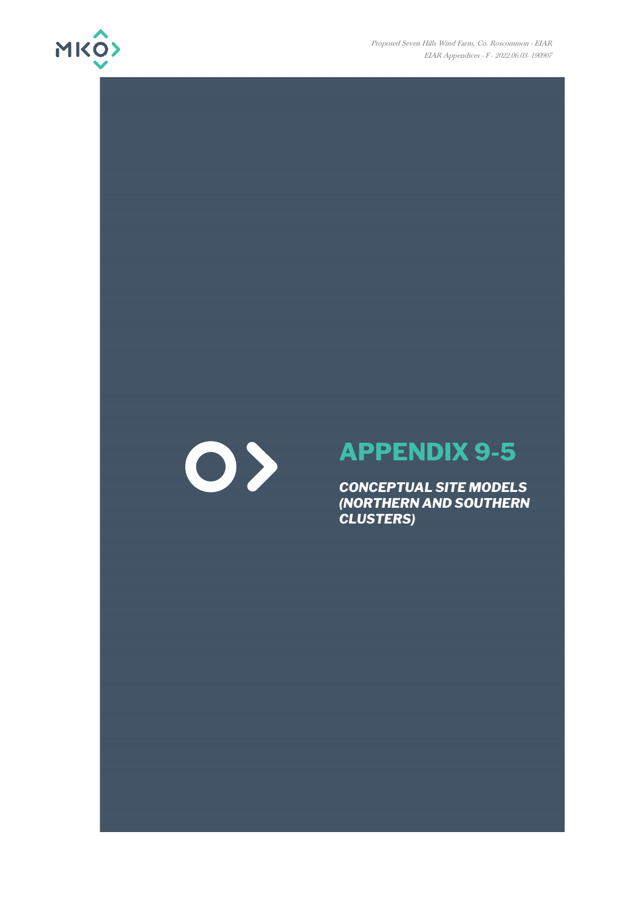



## **APPENDIX 9-5**

*CONCEPTUAL SITE MODELS (NORTHERN AND SOUTHERN CLUSTERS)*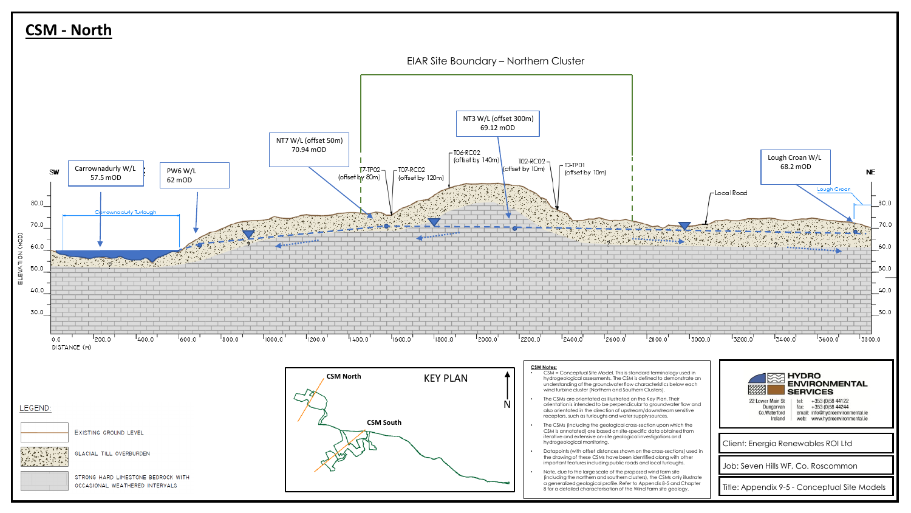